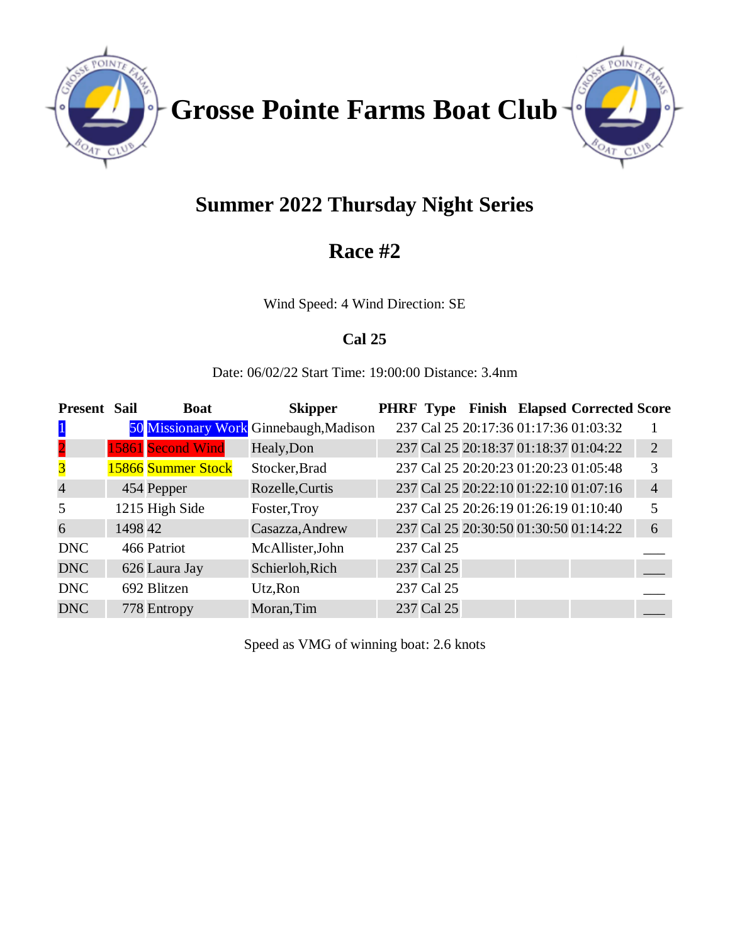

**Grosse Pointe Farms Boat Club**



# **Summer 2022 Thursday Night Series**

## **Race #2**

Wind Speed: 4 Wind Direction: SE

## **Cal 25**

Date: 06/02/22 Start Time: 19:00:00 Distance: 3.4nm

| <b>Present Sail</b>     |         | <b>Boat</b>        | <b>Skipper</b>                         |            |  | PHRF Type Finish Elapsed Corrected Score |                |
|-------------------------|---------|--------------------|----------------------------------------|------------|--|------------------------------------------|----------------|
| $\mathbf{1}$            |         |                    | 50 Missionary Work Ginnebaugh, Madison |            |  | 237 Cal 25 20:17:36 01:17:36 01:03:32    |                |
| $\overline{2}$          |         | 15861 Second Wind  | Healy, Don                             |            |  | 237 Cal 25 20:18:37 01:18:37 01:04:22    | 2              |
| $\overline{\mathbf{3}}$ |         | 15866 Summer Stock | Stocker, Brad                          |            |  | 237 Cal 25 20:20:23 01:20:23 01:05:48    | 3              |
| $\overline{4}$          |         | 454 Pepper         | Rozelle, Curtis                        |            |  | 237 Cal 25 20:22:10 01:22:10 01:07:16    | $\overline{4}$ |
| 5                       |         | 1215 High Side     | Foster, Troy                           |            |  | 237 Cal 25 20:26:19 01:26:19 01:10:40    | 5              |
| 6                       | 1498 42 |                    | Casazza, Andrew                        |            |  | 237 Cal 25 20:30:50 01:30:50 01:14:22    | 6              |
| <b>DNC</b>              |         | 466 Patriot        | McAllister, John                       | 237 Cal 25 |  |                                          |                |
| <b>DNC</b>              |         | 626 Laura Jay      | Schierloh, Rich                        | 237 Cal 25 |  |                                          |                |
| <b>DNC</b>              |         | 692 Blitzen        | Utz, Ron                               | 237 Cal 25 |  |                                          |                |
| <b>DNC</b>              |         | 778 Entropy        | Moran, Tim                             | 237 Cal 25 |  |                                          |                |

Speed as VMG of winning boat: 2.6 knots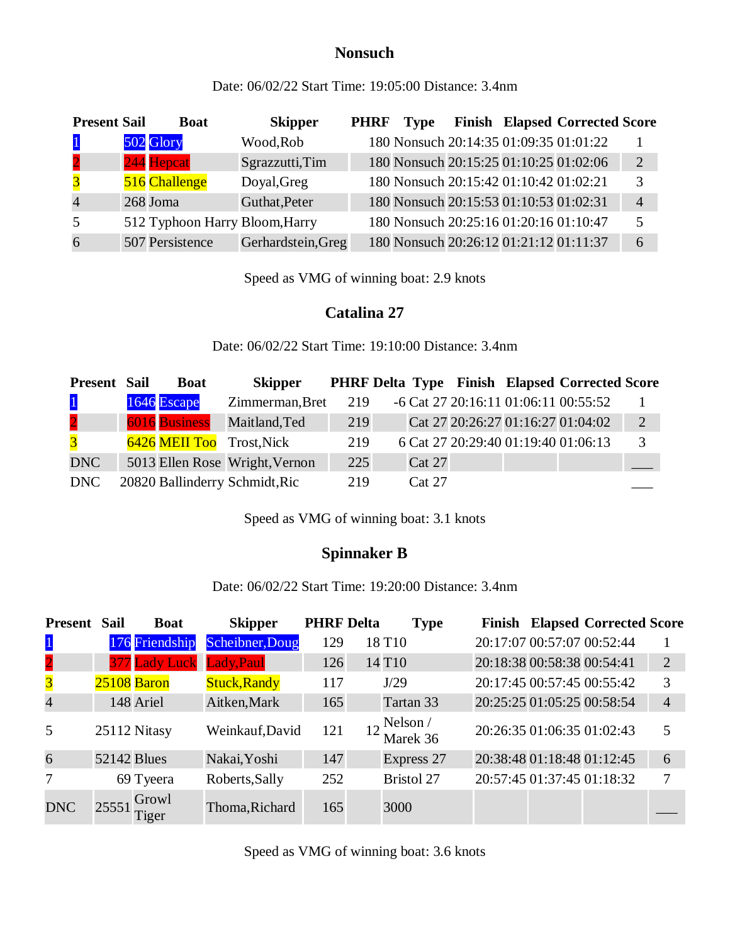#### **Nonsuch**

Date: 06/02/22 Start Time: 19:05:00 Distance: 3.4nm

| <b>Present Sail</b>     | <b>Boat</b>                    | <b>Skipper</b>     | <b>PHRF</b> | <b>Type</b>                            |  | <b>Finish Elapsed Corrected Score</b>  |                |
|-------------------------|--------------------------------|--------------------|-------------|----------------------------------------|--|----------------------------------------|----------------|
| $\mathbf{1}$            | 502 Glory                      | Wood, Rob          |             |                                        |  | 180 Nonsuch 20:14:35 01:09:35 01:01:22 |                |
| $\overline{2}$          | 244 Hepcat                     | Sgrazzutti, Tim    |             |                                        |  | 180 Nonsuch 20:15:25 01:10:25 01:02:06 | 2              |
| $\overline{\mathbf{3}}$ | 516 Challenge                  | Doyal, Greg        |             | 180 Nonsuch 20:15:42 01:10:42 01:02:21 |  |                                        | 3              |
| $\overline{4}$          | 268 Joma                       | Guthat, Peter      |             | 180 Nonsuch 20:15:53 01:10:53 01:02:31 |  |                                        | $\overline{4}$ |
| 5                       | 512 Typhoon Harry Bloom, Harry |                    |             | 180 Nonsuch 20:25:16 01:20:16 01:10:47 |  |                                        |                |
| 6                       | 507 Persistence                | Gerhardstein, Greg |             | 180 Nonsuch 20:26:12 01:21:12 01:11:37 |  |                                        | 6              |

Speed as VMG of winning boat: 2.9 knots

#### **Catalina 27**

Date: 06/02/22 Start Time: 19:10:00 Distance: 3.4nm

| <b>Present Sail</b>     | <b>Boat</b>          | <b>Skipper</b>                 |     |               |  | <b>PHRF Delta Type Finish Elapsed Corrected Score</b> |               |
|-------------------------|----------------------|--------------------------------|-----|---------------|--|-------------------------------------------------------|---------------|
| $\mathbf{1}$            | 1646 Escape          | Zimmerman, Bret                | 219 |               |  | -6 Cat 27 20:16:11 01:06:11 00:55:52                  |               |
| $\overline{\mathbf{2}}$ | <b>6016</b> Business | Maitland, Ted                  | 219 |               |  | Cat 27 20:26:27 01:16:27 01:04:02                     | 2             |
| $\overline{3}$          |                      | 6426 MEII Too Trost, Nick      | 219 |               |  | 6 Cat 27 20:29:40 01:19:40 01:06:13                   | $\mathcal{R}$ |
| <b>DNC</b>              |                      | 5013 Ellen Rose Wright, Vernon | 225 | <b>Cat 27</b> |  |                                                       |               |
| <b>DNC</b>              |                      | 20820 Ballinderry Schmidt, Ric | 219 | Cat 27        |  |                                                       |               |

Speed as VMG of winning boat: 3.1 knots

### **Spinnaker B**

Date: 06/02/22 Start Time: 19:20:00 Distance: 3.4nm

| <b>Present</b>          | Sail               | <b>Boat</b>              | <b>Skipper</b>      | <b>PHRF Delta</b> | <b>Type</b>         |                            | <b>Finish Elapsed Corrected Score</b> |                |
|-------------------------|--------------------|--------------------------|---------------------|-------------------|---------------------|----------------------------|---------------------------------------|----------------|
| $\mathbf{1}$            |                    | 176 Friendship           | Scheibner, Doug     | 129               | 18 T <sub>10</sub>  | 20:17:07 00:57:07 00:52:44 |                                       |                |
| $\overline{\mathbf{2}}$ |                    | 377 Lady Luck Lady, Paul |                     | 126               | 14 T <sub>10</sub>  | 20:18:38 00:58:38 00:54:41 |                                       | $\overline{2}$ |
| $\overline{\mathbf{3}}$ |                    | 25108 Baron              | <b>Stuck, Randy</b> | 117               | J/29                | 20:17:45 00:57:45 00:55:42 |                                       | 3              |
| $\overline{4}$          |                    | 148 Ariel                | Aitken, Mark        | 165               | Tartan 33           | 20:25:25 01:05:25 00:58:54 |                                       | $\overline{4}$ |
| 5                       |                    | 25112 Nitasy             | Weinkauf, David     | 121               | Nelson/<br>Marek 36 | 20:26:35 01:06:35 01:02:43 |                                       | 5              |
| 6                       | <b>52142 Blues</b> |                          | Nakai, Yoshi        | 147               | Express 27          | 20:38:48 01:18:48 01:12:45 |                                       | 6              |
| 7                       |                    | 69 Tyeera                | Roberts, Sally      | 252               | <b>Bristol 27</b>   |                            | 20:57:45 01:37:45 01:18:32            | 7              |
| <b>DNC</b>              | 25551              | Growl<br>Tiger           | Thoma, Richard      | 165               | 3000                |                            |                                       |                |

Speed as VMG of winning boat: 3.6 knots